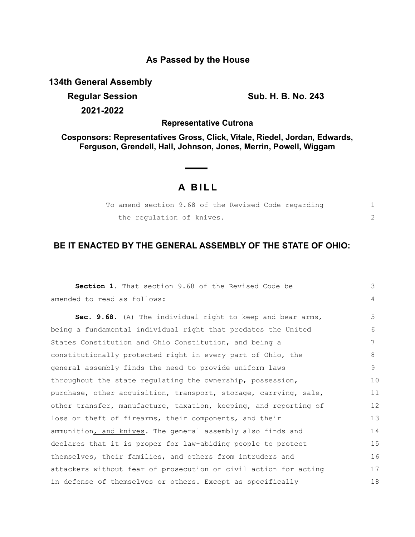# **As Passed by the House**

**134th General Assembly**

**Regular Session Sub. H. B. No. 243 2021-2022**

**Representative Cutrona**

**Cosponsors: Representatives Gross, Click, Vitale, Riedel, Jordan, Edwards, Ferguson, Grendell, Hall, Johnson, Jones, Merrin, Powell, Wiggam**

## **A B I L L**

|  |                           |  |  | To amend section 9.68 of the Revised Code regarding |  |
|--|---------------------------|--|--|-----------------------------------------------------|--|
|  | the requlation of knives. |  |  |                                                     |  |

## **BE IT ENACTED BY THE GENERAL ASSEMBLY OF THE STATE OF OHIO:**

| <b>Section 1.</b> That section 9.68 of the Revised Code be       | 3  |
|------------------------------------------------------------------|----|
| amended to read as follows:                                      | 4  |
| Sec. 9.68. (A) The individual right to keep and bear arms,       | 5  |
| being a fundamental individual right that predates the United    | 6  |
| States Constitution and Ohio Constitution, and being a           | 7  |
| constitutionally protected right in every part of Ohio, the      | 8  |
| general assembly finds the need to provide uniform laws          | 9  |
| throughout the state regulating the ownership, possession,       | 10 |
| purchase, other acquisition, transport, storage, carrying, sale, | 11 |
| other transfer, manufacture, taxation, keeping, and reporting of | 12 |
| loss or theft of firearms, their components, and their           | 13 |
| ammunition, and knives. The general assembly also finds and      | 14 |
| declares that it is proper for law-abiding people to protect     | 15 |
| themselves, their families, and others from intruders and        | 16 |
| attackers without fear of prosecution or civil action for acting | 17 |
| in defense of themselves or others. Except as specifically       | 18 |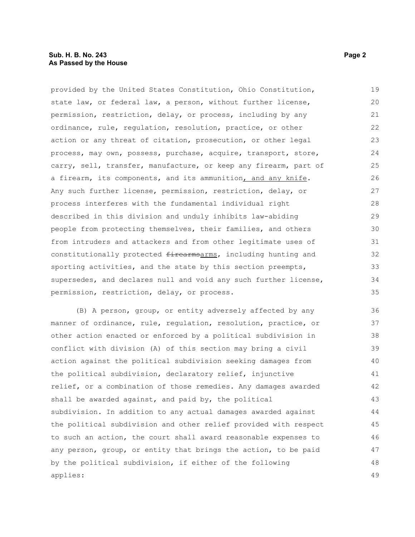#### **Sub. H. B. No. 243 Page 2 As Passed by the House**

provided by the United States Constitution, Ohio Constitution, state law, or federal law, a person, without further license, permission, restriction, delay, or process, including by any ordinance, rule, regulation, resolution, practice, or other action or any threat of citation, prosecution, or other legal process, may own, possess, purchase, acquire, transport, store, carry, sell, transfer, manufacture, or keep any firearm, part of a firearm, its components, and its ammunition, and any knife. Any such further license, permission, restriction, delay, or process interferes with the fundamental individual right described in this division and unduly inhibits law-abiding people from protecting themselves, their families, and others from intruders and attackers and from other legitimate uses of constitutionally protected firearmsarms, including hunting and sporting activities, and the state by this section preempts, supersedes, and declares null and void any such further license, permission, restriction, delay, or process. 19 20 21 22 23 24 25 26 27 28 29 30 31 32 33 34 35

(B) A person, group, or entity adversely affected by any manner of ordinance, rule, regulation, resolution, practice, or other action enacted or enforced by a political subdivision in conflict with division (A) of this section may bring a civil action against the political subdivision seeking damages from the political subdivision, declaratory relief, injunctive relief, or a combination of those remedies. Any damages awarded shall be awarded against, and paid by, the political subdivision. In addition to any actual damages awarded against the political subdivision and other relief provided with respect to such an action, the court shall award reasonable expenses to any person, group, or entity that brings the action, to be paid by the political subdivision, if either of the following applies: 36 37 38 39 40 41 42 43 44 45 46 47 48 49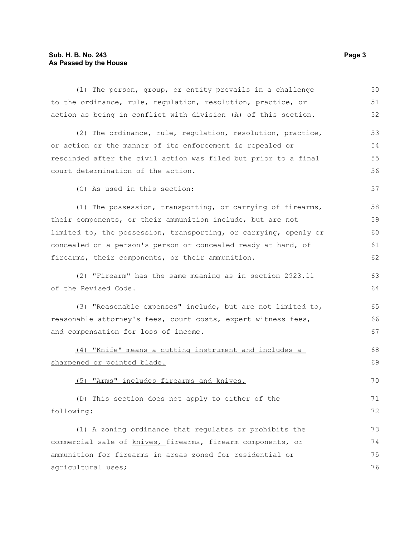### **Sub. H. B. No. 243 Page 3 As Passed by the House**

| (1) The person, group, or entity prevails in a challenge         | 50 |  |  |  |
|------------------------------------------------------------------|----|--|--|--|
| to the ordinance, rule, regulation, resolution, practice, or     | 51 |  |  |  |
| action as being in conflict with division (A) of this section.   | 52 |  |  |  |
| (2) The ordinance, rule, regulation, resolution, practice,       | 53 |  |  |  |
| or action or the manner of its enforcement is repealed or        | 54 |  |  |  |
| rescinded after the civil action was filed but prior to a final  | 55 |  |  |  |
| court determination of the action.                               | 56 |  |  |  |
| (C) As used in this section:                                     | 57 |  |  |  |
| (1) The possession, transporting, or carrying of firearms,       | 58 |  |  |  |
| their components, or their ammunition include, but are not       | 59 |  |  |  |
| limited to, the possession, transporting, or carrying, openly or | 60 |  |  |  |
| concealed on a person's person or concealed ready at hand, of    | 61 |  |  |  |
| firearms, their components, or their ammunition.                 | 62 |  |  |  |
| (2) "Firearm" has the same meaning as in section 2923.11         | 63 |  |  |  |
| of the Revised Code.                                             | 64 |  |  |  |
| (3) "Reasonable expenses" include, but are not limited to,       | 65 |  |  |  |
| reasonable attorney's fees, court costs, expert witness fees,    |    |  |  |  |
| and compensation for loss of income.                             | 67 |  |  |  |
| (4) "Knife" means a cutting instrument and includes a            | 68 |  |  |  |
| sharpened or pointed blade.                                      | 69 |  |  |  |
| (5) "Arms" includes firearms and knives.                         | 70 |  |  |  |
| (D) This section does not apply to either of the                 | 71 |  |  |  |
| following:                                                       | 72 |  |  |  |
| (1) A zoning ordinance that regulates or prohibits the           | 73 |  |  |  |
| commercial sale of knives, firearms, firearm components, or      |    |  |  |  |
| ammunition for firearms in areas zoned for residential or        | 75 |  |  |  |
| agricultural uses;                                               | 76 |  |  |  |